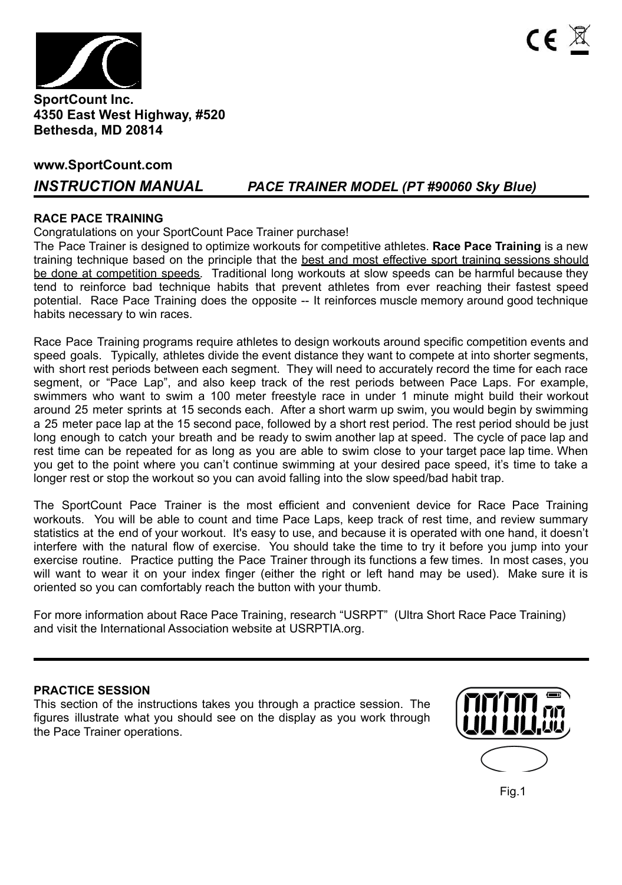

### **SportCount Inc. 4350 East West Highway, #520 Bethesda, MD 20814**

### **www.SportCount.com**

# *INSTRUCTION MANUAL PACE TRAINER MODEL (PT #90060 Sky Blue)*

### **RACE PACE TRAINING**

Congratulations on your SportCount Pace Trainer purchase!

The Pace Trainer is designed to optimize workouts for competitive athletes. **Race Pace Training** is a new training technique based on the principle that the best and most effective sport training sessions should be done at competition speeds. Traditional long workouts at slow speeds can be harmful because they tend to reinforce bad technique habits that prevent athletes from ever reaching their fastest speed potential. Race Pace Training does the opposite -- It reinforces muscle memory around good technique habits necessary to win races.

Race Pace Training programs require athletes to design workouts around specific competition events and speed goals. Typically, athletes divide the event distance they want to compete at into shorter segments, with short rest periods between each segment. They will need to accurately record the time for each race segment, or "Pace Lap", and also keep track of the rest periods between Pace Laps. For example, swimmers who want to swim a 100 meter freestyle race in under 1 minute might build their workout around 25 meter sprints at 15 seconds each. After a short warm up swim, you would begin by swimming a 25 meter pace lap at the 15 second pace, followed by a short rest period. The rest period should be just long enough to catch your breath and be ready to swim another lap at speed. The cycle of pace lap and rest time can be repeated for as long as you are able to swim close to your target pace lap time. When you get to the point where you can't continue swimming at your desired pace speed, it's time to take a longer rest or stop the workout so you can avoid falling into the slow speed/bad habit trap.

The SportCount Pace Trainer is the most efficient and convenient device for Race Pace Training workouts. You will be able to count and time Pace Laps, keep track of rest time, and review summary statistics at the end of your workout. It's easy to use, and because it is operated with one hand, it doesn't interfere with the natural flow of exercise. You should take the time to try it before you jump into your exercise routine. Practice putting the Pace Trainer through its functions a few times. In most cases, you will want to wear it on your index finger (either the right or left hand may be used). Make sure it is oriented so you can comfortably reach the button with your thumb.

For more information about Race Pace Training, research "USRPT" (Ultra Short Race Pace Training) and visit the International Association website at USRPTIA.org.

### **PRACTICE SESSION**

This section of the instructions takes you through a practice session. The figures illustrate what you should see on the display as you work through the Pace Trainer operations.



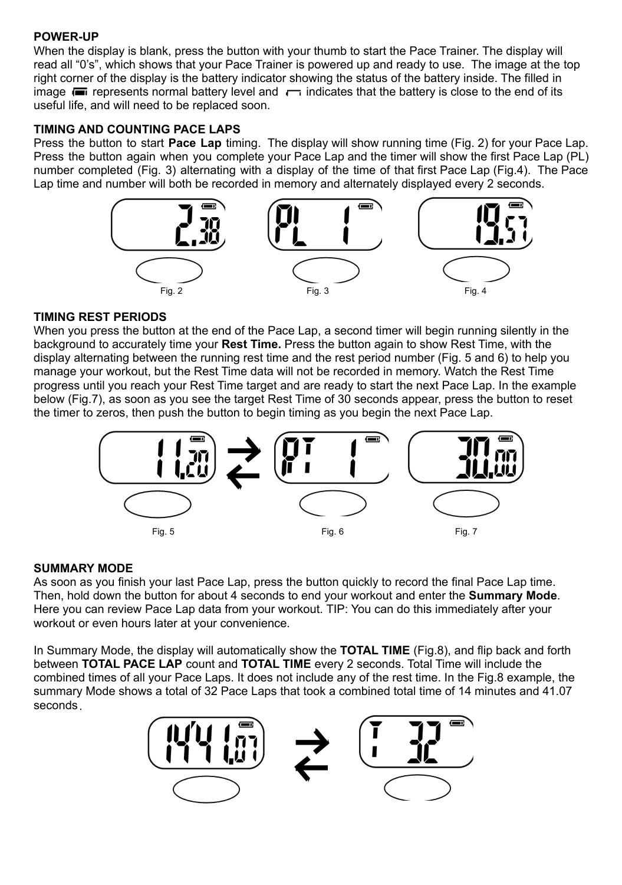# **POWER-UP**

When the display is blank, press the button with your thumb to start the Pace Trainer. The display will read all "0's", which shows that your Pace Trainer is powered up and ready to use. The image at the top right corner of the display is the battery indicator showing the status of the battery inside. The filled in image  $\blacksquare$  represents normal battery level and  $\blacksquare$  indicates that the battery is close to the end of its useful life, and will need to be replaced soon.

# **TIMING AND COUNTING PACE LAPS**

Press the button to start **Pace Lap** timing. The display will show running time (Fig. 2) for your Pace Lap. Press the button again when you complete your Pace Lap and the timer will show the first Pace Lap (PL) number completed (Fig. 3) alternating with a display of the time of that first Pace Lap (Fig.4). The Pace Lap time and number will both be recorded in memory and alternately displayed every 2 seconds.



# **TIMING REST PERIODS**

When you press the button at the end of the Pace Lap, a second timer will begin running silently in the background to accurately time your **Rest Time.** Press the button again to show Rest Time, with the display alternating between the running rest time and the rest period number (Fig. 5 and 6) to help you manage your workout, but the Rest Time data will not be recorded in memory. Watch the Rest Time progress until you reach your Rest Time target and are ready to start the next Pace Lap. In the example below (Fig.7), as soon as you see the target Rest Time of 30 seconds appear, press the button to reset the timer to zeros, then push the button to begin timing as you begin the next Pace Lap.



### **SUMMARY MODE**

As soon as you finish your last Pace Lap, press the button quickly to record the final Pace Lap time. Then, hold down the button for about 4 seconds to end your workout and enter the **Summary Mode**. Here you can review Pace Lap data from your workout. TIP: You can do this immediately after your workout or even hours later at your convenience.

In Summary Mode, the display will automatically show the **TOTAL TIME** (Fig.8), and flip back and forth between **TOTAL PACE LAP** count and **TOTAL TIME** every 2 seconds. Total Time will include the combined times of all your Pace Laps. It does not include any of the rest time. In the Fig.8 example, the summary Mode shows a total of 32 Pace Laps that took a combined total time of 14 minutes and 41.07 seconds.

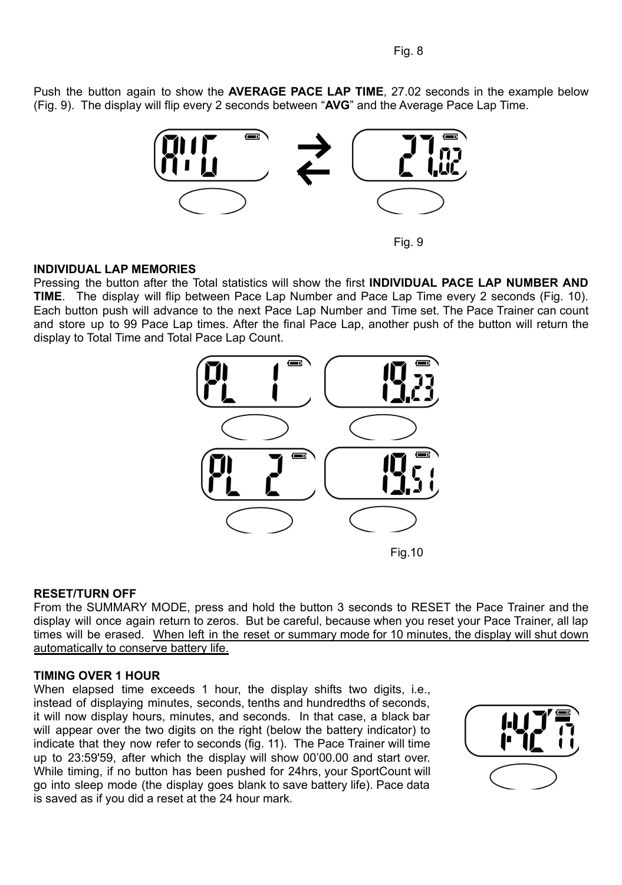Push the button again to show the **AVERAGE PACE LAP TIME**, 27.02 seconds in the example below (Fig. 9). The display will flip every 2 seconds between "**AVG**" and the Average Pace Lap Time.



Fig. 9

#### **INDIVIDUAL LAP MEMORIES**

Pressing the button after the Total statistics will show the first **INDIVIDUAL PACE LAP NUMBER AND TIME**. The display will flip between Pace Lap Number and Pace Lap Time every 2 seconds (Fig. 10). Each button push will advance to the next Pace Lap Number and Time set. The Pace Trainer can count and store up to 99 Pace Lap times. After the final Pace Lap, another push of the button will return the display to Total Time and Total Pace Lap Count.



#### **RESET/TURN OFF**

From the SUMMARY MODE, press and hold the button 3 seconds to RESET the Pace Trainer and the display will once again return to zeros. But be careful, because when you reset your Pace Trainer, all lap times will be erased. When left in the reset or summary mode for 10 minutes, the display will shut down automatically to conserve battery life.

#### **TIMING OVER 1 HOUR**

When elapsed time exceeds 1 hour, the display shifts two digits, i.e., instead of displaying minutes, seconds, tenths and hundredths of seconds, it will now display hours, minutes, and seconds. In that case, a black bar will appear over the two digits on the right (below the battery indicator) to indicate that they now refer to seconds (fig. 11). The Pace Trainer will time up to 23:59'59, after which the display will show 00'00.00 and start over. While timing, if no button has been pushed for 24hrs, your SportCount will go into sleep mode (the display goes blank to save battery life). Pace data is saved as if you did a reset at the 24 hour mark.

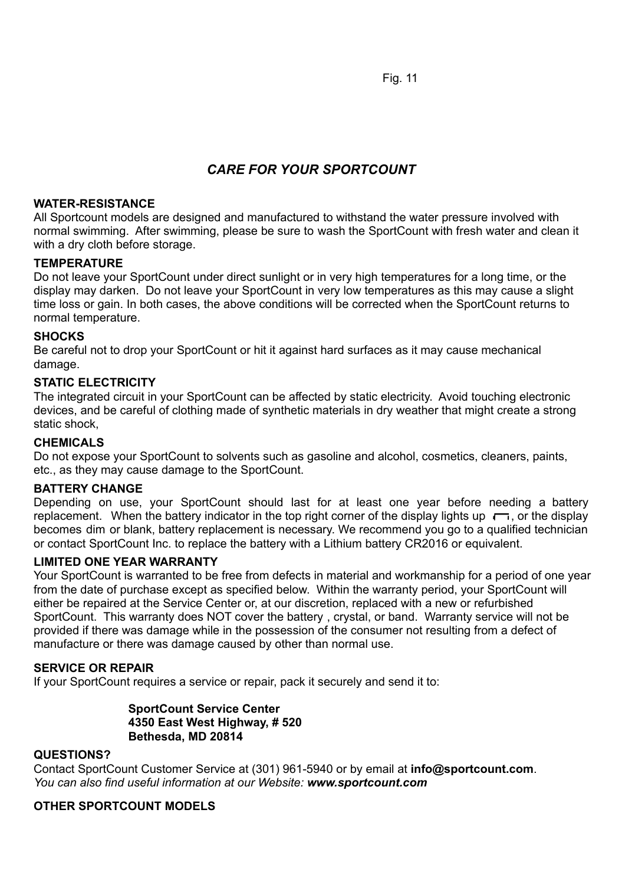Fig. 11

# *CARE FOR YOUR SPORTCOUNT*

### **WATER-RESISTANCE**

All Sportcount models are designed and manufactured to withstand the water pressure involved with normal swimming. After swimming, please be sure to wash the SportCount with fresh water and clean it with a dry cloth before storage.

### **TEMPERATURE**

Do not leave your SportCount under direct sunlight or in very high temperatures for a long time, or the display may darken. Do not leave your SportCount in very low temperatures as this may cause a slight time loss or gain. In both cases, the above conditions will be corrected when the SportCount returns to normal temperature.

### **SHOCKS**

Be careful not to drop your SportCount or hit it against hard surfaces as it may cause mechanical damage.

### **STATIC ELECTRICITY**

The integrated circuit in your SportCount can be affected by static electricity. Avoid touching electronic devices, and be careful of clothing made of synthetic materials in dry weather that might create a strong static shock,

### **CHEMICALS**

Do not expose your SportCount to solvents such as gasoline and alcohol, cosmetics, cleaners, paints, etc., as they may cause damage to the SportCount.

#### **BATTERY CHANGE**

Depending on use, your SportCount should last for at least one year before needing a battery replacement. When the battery indicator in the top right corner of the display lights up  $\Box$ , or the display becomes dim or blank, battery replacement is necessary. We recommend you go to a qualified technician or contact SportCount Inc. to replace the battery with a Lithium battery CR2016 or equivalent.

#### **LIMITED ONE YEAR WARRANTY**

Your SportCount is warranted to be free from defects in material and workmanship for a period of one year from the date of purchase except as specified below. Within the warranty period, your SportCount will either be repaired at the Service Center or, at our discretion, replaced with a new or refurbished SportCount. This warranty does NOT cover the battery , crystal, or band. Warranty service will not be provided if there was damage while in the possession of the consumer not resulting from a defect of manufacture or there was damage caused by other than normal use.

## **SERVICE OR REPAIR**

If your SportCount requires a service or repair, pack it securely and send it to:

#### **SportCount Service Center 4350 East West Highway, # 520 Bethesda, MD 20814**

#### **QUESTIONS?**

Contact SportCount Customer Service at (301) 961-5940 or by email at **info@sportcount.com**. *You can also find useful information at our Website: www.sportcount.com*

### **OTHER SPORTCOUNT MODELS**